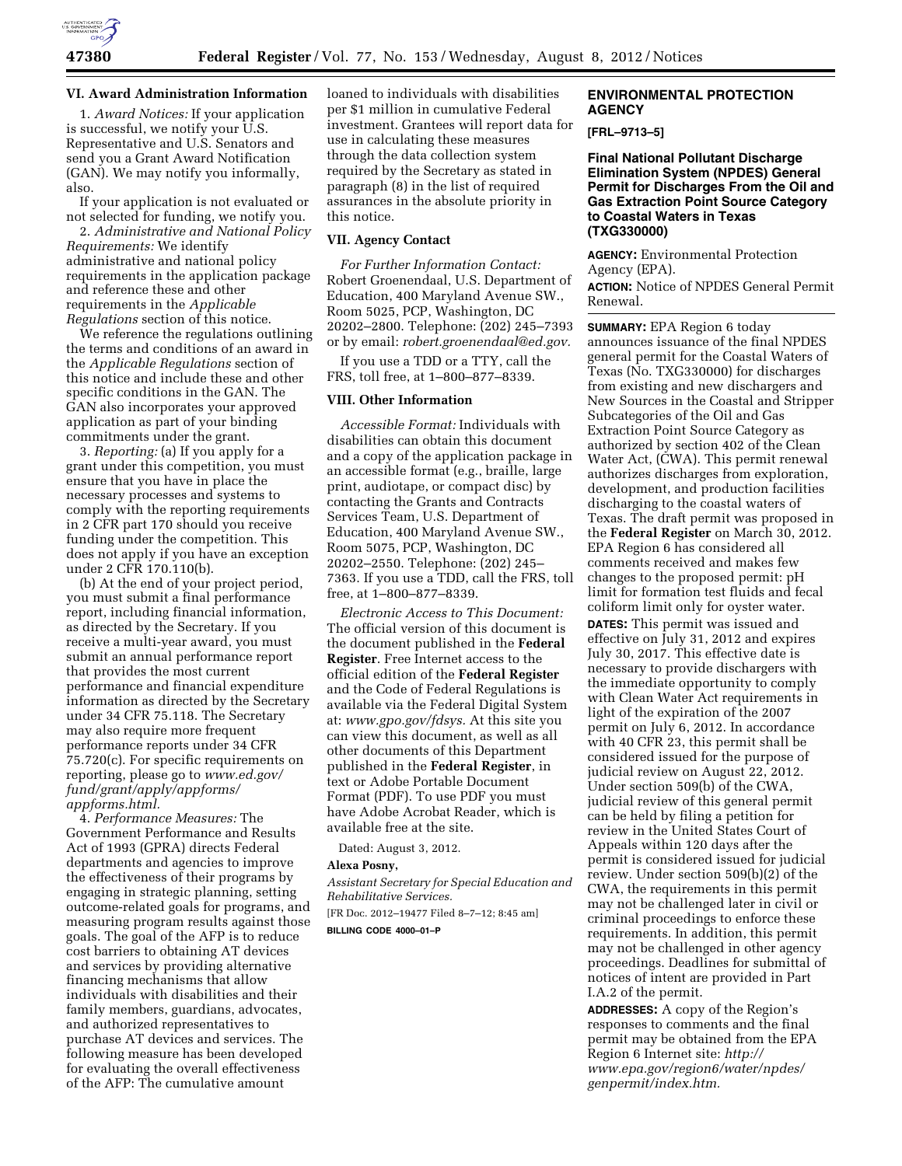

### **VI. Award Administration Information**

1. *Award Notices:* If your application is successful, we notify your U.S. Representative and U.S. Senators and send you a Grant Award Notification (GAN). We may notify you informally, also.

If your application is not evaluated or not selected for funding, we notify you.

2. *Administrative and National Policy Requirements:* We identify administrative and national policy requirements in the application package and reference these and other requirements in the *Applicable Regulations* section of this notice.

We reference the regulations outlining the terms and conditions of an award in the *Applicable Regulations* section of this notice and include these and other specific conditions in the GAN. The GAN also incorporates your approved application as part of your binding commitments under the grant.

3. *Reporting:* (a) If you apply for a grant under this competition, you must ensure that you have in place the necessary processes and systems to comply with the reporting requirements in 2 CFR part 170 should you receive funding under the competition. This does not apply if you have an exception under 2 CFR 170.110(b).

(b) At the end of your project period, you must submit a final performance report, including financial information, as directed by the Secretary. If you receive a multi-year award, you must submit an annual performance report that provides the most current performance and financial expenditure information as directed by the Secretary under 34 CFR 75.118. The Secretary may also require more frequent performance reports under 34 CFR 75.720(c). For specific requirements on reporting, please go to *[www.ed.gov/](http://www.ed.gov/fund/grant/apply/appforms/appforms.html) [fund/grant/apply/appforms/](http://www.ed.gov/fund/grant/apply/appforms/appforms.html) [appforms.html.](http://www.ed.gov/fund/grant/apply/appforms/appforms.html)* 

4. *Performance Measures:* The Government Performance and Results Act of 1993 (GPRA) directs Federal departments and agencies to improve the effectiveness of their programs by engaging in strategic planning, setting outcome-related goals for programs, and measuring program results against those goals. The goal of the AFP is to reduce cost barriers to obtaining AT devices and services by providing alternative financing mechanisms that allow individuals with disabilities and their family members, guardians, advocates, and authorized representatives to purchase AT devices and services. The following measure has been developed for evaluating the overall effectiveness of the AFP: The cumulative amount

loaned to individuals with disabilities per \$1 million in cumulative Federal investment. Grantees will report data for use in calculating these measures through the data collection system required by the Secretary as stated in paragraph (8) in the list of required assurances in the absolute priority in this notice.

### **VII. Agency Contact**

*For Further Information Contact:*  Robert Groenendaal, U.S. Department of Education, 400 Maryland Avenue SW., Room 5025, PCP, Washington, DC 20202–2800. Telephone: (202) 245–7393 or by email: *[robert.groenendaal@ed.gov.](mailto:robert.groenendaal@ed.gov)* 

If you use a TDD or a TTY, call the FRS, toll free, at 1–800–877–8339.

### **VIII. Other Information**

*Accessible Format:* Individuals with disabilities can obtain this document and a copy of the application package in an accessible format (e.g., braille, large print, audiotape, or compact disc) by contacting the Grants and Contracts Services Team, U.S. Department of Education, 400 Maryland Avenue SW., Room 5075, PCP, Washington, DC 20202–2550. Telephone: (202) 245– 7363. If you use a TDD, call the FRS, toll free, at 1–800–877–8339.

*Electronic Access to This Document:*  The official version of this document is the document published in the **Federal Register**. Free Internet access to the official edition of the **Federal Register**  and the Code of Federal Regulations is available via the Federal Digital System at: *[www.gpo.gov/fdsys.](http://www.gpo.gov/fdsys)* At this site you can view this document, as well as all other documents of this Department published in the **Federal Register**, in text or Adobe Portable Document Format (PDF). To use PDF you must have Adobe Acrobat Reader, which is available free at the site.

Dated: August 3, 2012.

#### **Alexa Posny,**

*Assistant Secretary for Special Education and Rehabilitative Services.*  [FR Doc. 2012–19477 Filed 8–7–12; 8:45 am] **BILLING CODE 4000–01–P** 

## **ENVIRONMENTAL PROTECTION AGENCY**

**[FRL–9713–5]** 

**Final National Pollutant Discharge Elimination System (NPDES) General Permit for Discharges From the Oil and Gas Extraction Point Source Category to Coastal Waters in Texas (TXG330000)** 

**AGENCY:** Environmental Protection Agency (EPA).

**ACTION:** Notice of NPDES General Permit Renewal.

**SUMMARY:** EPA Region 6 today announces issuance of the final NPDES general permit for the Coastal Waters of Texas (No. TXG330000) for discharges from existing and new dischargers and New Sources in the Coastal and Stripper Subcategories of the Oil and Gas Extraction Point Source Category as authorized by section 402 of the Clean Water Act, (CWA). This permit renewal authorizes discharges from exploration, development, and production facilities discharging to the coastal waters of Texas. The draft permit was proposed in the **Federal Register** on March 30, 2012. EPA Region 6 has considered all comments received and makes few changes to the proposed permit: pH limit for formation test fluids and fecal coliform limit only for oyster water. **DATES:** This permit was issued and effective on July 31, 2012 and expires July 30, 2017. This effective date is necessary to provide dischargers with the immediate opportunity to comply with Clean Water Act requirements in light of the expiration of the 2007 permit on July 6, 2012. In accordance with 40 CFR 23, this permit shall be considered issued for the purpose of judicial review on August 22, 2012. Under section 509(b) of the CWA, judicial review of this general permit can be held by filing a petition for review in the United States Court of Appeals within 120 days after the permit is considered issued for judicial review. Under section 509(b)(2) of the CWA, the requirements in this permit may not be challenged later in civil or criminal proceedings to enforce these requirements. In addition, this permit may not be challenged in other agency proceedings. Deadlines for submittal of notices of intent are provided in Part I.A.2 of the permit.

**ADDRESSES:** A copy of the Region's responses to comments and the final permit may be obtained from the EPA Region 6 Internet site: *[http://](http://www.epa.gov/region6/water/npdes/genpermit/index.htm) [www.epa.gov/region6/water/npdes/](http://www.epa.gov/region6/water/npdes/genpermit/index.htm) [genpermit/index.htm.](http://www.epa.gov/region6/water/npdes/genpermit/index.htm)*